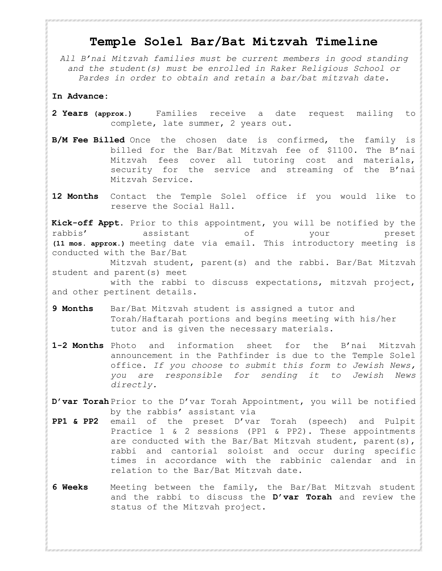## **Temple Solel Bar/Bat Mitzvah Timeline**

*All B'nai Mitzvah families must be current members in good standing and the student(s) must be enrolled in Raker Religious School or Pardes in order to obtain and retain a bar/bat mitzvah date.* 

## **In Advance:**

## **2 Years (approx.)**

Families receive a date request mailing to complete, late summer, 2 years out.

**B/M Fee Billed:**

Once the chosen date is confirmed, the family is billed for the **Bar/Bat Mitzvah fee of \$1100**. The B'nai Mitzvah fees cover all tutoring cost and materials, security for the service and streaming of the B'nai Mitzvah Service.

- **12 Months:** Contact the Temple Solel office if you would like to reserve the social hall.
- Prior to this appointment, you will be notified by the rabbis' assistant of your preset (11 mos. approx.) meeting date via email. This introductory meeting is conducted with the Bar/Bat Mitzvah student, parent(s) and the rabbi. Bar/Bat Mitzvah student and parent(s) meet with the rabbi to discuss expectations, mitzvah project, and other pertinent details. **Kick off:**
- Bar/Bat Mitzvah student is assigned a tutor and Torah/Haftarah portions and begins meeting with his/her tutor and is given the necessary materials. **9 Months:**
- **1-2 Months:** Photo and information sheet for the B'nai Mitzvah announcement in<br> **1-2 Months:** the Pathfinder is due to the Temple Solel office. If you choose to the Pathfinder is due to the Temple Solel office. *If you choose to submit this form to Jewish News, you are responsible for sending it to Jewish News directly.*
- Prior to the D'Var Torah Appointment,you will be notified by the **D'var Torah** rabbi's assistant via PP1 and PP2 email of the preset D var Torah (speech) and Pulpit Practice 1 & 2 sessions (PP1 & PP2).<br>PP2).These appointmentsLEEHILHLDD PP2).These appointments FEHIH DD parent(s), rabbiland cantorial soloist and  $\Box$  occur during specific times in accordance with the rabbinic calendar and in relation to the Bar/Bat Mitzvah date. **PP1&PP2:**
- **6 Weeks:** Meeting between the family, the Bar/Bat Mitzvah student and the rabbi to discuss the **D'var Torah** and review the status of the Mitzvah project.
- **1-1/2 Wks: Pulpit Practice 1 occurs.** Honor Sheet and Hebrew Name 1/2 sheet form from this binder are both due to the rabbi at this meeting which is conducted in the sanctuary.
- **Wed.Prior: Pulpit Practice 2 occurs** and is held in the sanctuary as a rehearsal.

**Formal Photos:** If you choose to have formal photos taken that include the rabbi and/ or cantorial soloist, there is a specific time that is set aside for this purpose. The hour prior to the start of Pulpit Practice 2 may be reserved by contacting the rabbi's assistant. The rabbi and cantorial soloist will not be available for formal portraits the day of the Bar/ Bat Mitzvah.